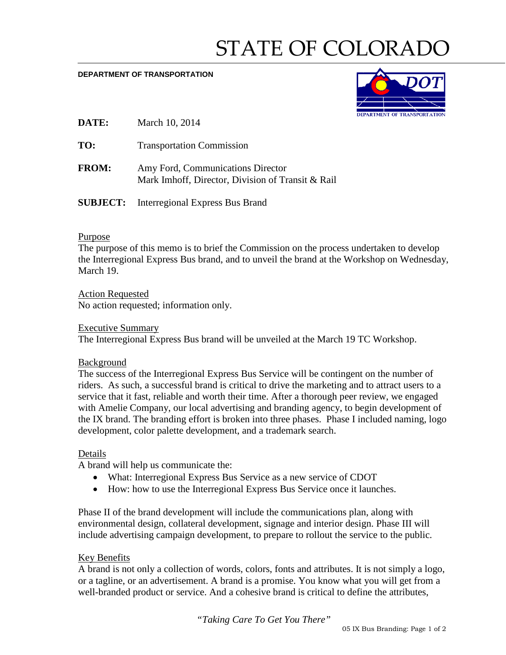# STATE OF COLORADO

#### **DEPARTMENT OF TRANSPORTATION**



- **DATE:** March 10, 2014
- TO: Transportation Commission
- **FROM:** Amy Ford, Communications Director Mark Imhoff, Director, Division of Transit & Rail
- **SUBJECT:** Interregional Express Bus Brand

#### Purpose

The purpose of this memo is to brief the Commission on the process undertaken to develop the Interregional Express Bus brand, and to unveil the brand at the Workshop on Wednesday, March 19.

Action Requested No action requested; information only.

#### Executive Summary

The Interregional Express Bus brand will be unveiled at the March 19 TC Workshop.

## Background

The success of the Interregional Express Bus Service will be contingent on the number of riders. As such, a successful brand is critical to drive the marketing and to attract users to a service that it fast, reliable and worth their time. After a thorough peer review, we engaged with Amelie Company, our local advertising and branding agency, to begin development of the IX brand. The branding effort is broken into three phases. Phase I included naming, logo development, color palette development, and a trademark search.

#### Details

A brand will help us communicate the:

- What: Interregional Express Bus Service as a new service of CDOT
- How: how to use the Interregional Express Bus Service once it launches.

Phase II of the brand development will include the communications plan, along with environmental design, collateral development, signage and interior design. Phase III will include advertising campaign development, to prepare to rollout the service to the public.

## Key Benefits

A brand is not only a collection of words, colors, fonts and attributes. It is not simply a logo, or a tagline, or an advertisement. A brand is a promise. You know what you will get from a well-branded product or service. And a cohesive brand is critical to define the attributes,